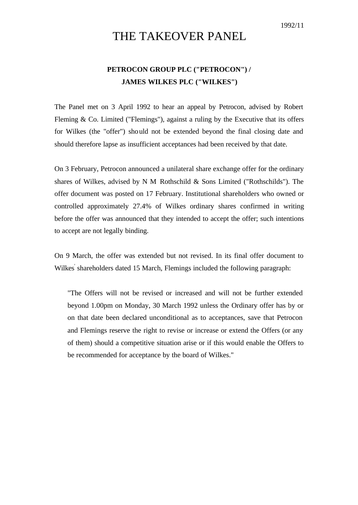## THE TAKEOVER PANEL

## **PETROCON GROUP PLC ("PETROCON") / JAMES WILKES PLC ("WILKES")**

The Panel met on 3 April 1992 to hear an appeal by Petrocon, advised by Robert Fleming & Co. Limited ("Flemings"), against a ruling by the Executive that its offers for Wilkes (the "offer") should not be extended beyond the final closing date and should therefore lapse as insufficient acceptances had been received by that date.

On 3 February, Petrocon announced a unilateral share exchange offer for the ordinary shares of Wilkes, advised by N M Rothschild & Sons Limited ("Rothschilds"). The offer document was posted on 17 February. Institutional shareholders who owned or controlled approximately 27.4% of Wilkes ordinary shares confirmed in writing before the offer was announced that they intended to accept the offer; such intentions to accept are not legally binding.

On 9 March, the offer was extended but not revised. In its final offer document to Wilkes' shareholders dated 15 March, Flemings included the following paragraph:

"The Offers will not be revised or increased and will not be further extended beyond 1.00pm on Monday, 30 March 1992 unless the Ordinary offer has by or on that date been declared unconditional as to acceptances, save that Petrocon and Flemings reserve the right to revise or increase or extend the Offers (or any of them) should a competitive situation arise or if this would enable the Offers to be recommended for acceptance by the board of Wilkes."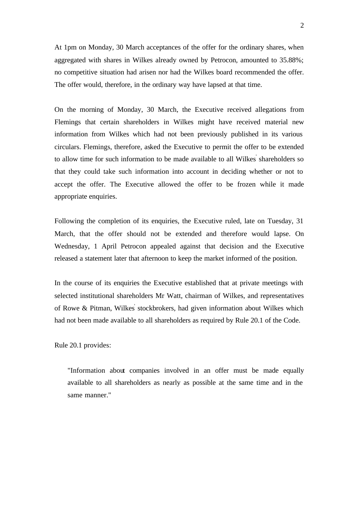At 1pm on Monday, 30 March acceptances of the offer for the ordinary shares, when aggregated with shares in Wilkes already owned by Petrocon, amounted to 35.88%; no competitive situation had arisen nor had the Wilkes board recommended the offer. The offer would, therefore, in the ordinary way have lapsed at that time.

On the morning of Monday, 30 March, the Executive received allegations from Flemings that certain shareholders in Wilkes might have received material new information from Wilkes which had not been previously published in its various circulars. Flemings, therefore, asked the Executive to permit the offer to be extended to allow time for such information to be made available to all Wilkes' shareholders so that they could take such information into account in deciding whether or not to accept the offer. The Executive allowed the offer to be frozen while it made appropriate enquiries.

Following the completion of its enquiries, the Executive ruled, late on Tuesday, 31 March, that the offer should not be extended and therefore would lapse. On Wednesday, 1 April Petrocon appealed against that decision and the Executive released a statement later that afternoon to keep the market informed of the position.

In the course of its enquiries the Executive established that at private meetings with selected institutional shareholders Mr Watt, chairman of Wilkes, and representatives of Rowe & Pitman, Wilkes' stockbrokers, had given information about Wilkes which had not been made available to all shareholders as required by Rule 20.1 of the Code.

Rule 20.1 provides:

"Information about companies involved in an offer must be made equally available to all shareholders as nearly as possible at the same time and in the same manner."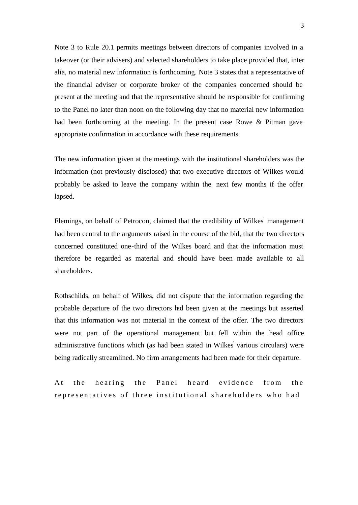Note 3 to Rule 20.1 permits meetings between directors of companies involved in a takeover (or their advisers) and selected shareholders to take place provided that, inter alia, no material new information is forthcoming. Note 3 states that a representative of the financial adviser or corporate broker of the companies concerned should be present at the meeting and that the representative should be responsible for confirming to the Panel no later than noon on the following day that no material new information had been forthcoming at the meeting. In the present case Rowe & Pitman gave appropriate confirmation in accordance with these requirements.

The new information given at the meetings with the institutional shareholders was the information (not previously disclosed) that two executive directors of Wilkes would probably be asked to leave the company within the next few months if the offer lapsed.

Flemings, on behalf of Petrocon, claimed that the credibility of Wilkes' management had been central to the arguments raised in the course of the bid, that the two directors concerned constituted one-third of the Wilkes board and that the information must therefore be regarded as material and should have been made available to all shareholders.

Rothschilds, on behalf of Wilkes, did not dispute that the information regarding the probable departure of the two directors had been given at the meetings but asserted that this information was not material in the context of the offer. The two directors were not part of the operational management but fell within the head office administrative functions which (as had been stated in Wilkes various circulars) were being radically streamlined. No firm arrangements had been made for their departure.

At the hearing the Panel heard evidence from the representatives of three institutional shareholders who had